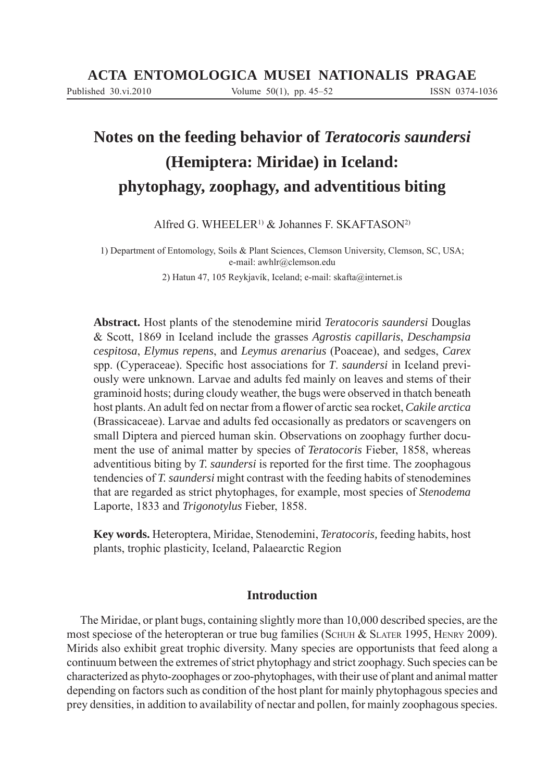# **Notes on the feeding behavior of** *Teratocoris saundersi* **(Hemiptera: Miridae) in Iceland: phytophagy, zoophagy, and adventitious biting**

Alfred G. WHEELER<sup>1)</sup> & Johannes F. SKAFTASON<sup>2)</sup>

1) Department of Entomology, Soils & Plant Sciences, Clemson University, Clemson, SC, USA; e-mail: awhlr@clemson.edu

2) Hatun 47, 105 Reykjavík, Iceland; e-mail: skafta@internet.is

**Abstract.** Host plants of the stenodemine mirid *Teratocoris saundersi* Douglas & Scott, 1869 in Iceland include the grasses *Agrostis capillaris*, *Deschampsia cespitosa*, *Elymus repens*, and *Leymus arenarius* (Poaceae), and sedges, *Carex* spp. (Cyperaceae). Specific host associations for *T. saundersi* in Iceland previously were unknown. Larvae and adults fed mainly on leaves and stems of their graminoid hosts; during cloudy weather, the bugs were observed in thatch beneath host plants. An adult fed on nectar from a flower of arctic sea rocket, *Cakile arctica* (Brassicaceae). Larvae and adults fed occasionally as predators or scavengers on small Diptera and pierced human skin. Observations on zoophagy further document the use of animal matter by species of *Teratocoris* Fieber, 1858, whereas adventitious biting by *T. saundersi* is reported for the first time. The zoophagous tendencies of *T. saundersi* might contrast with the feeding habits of stenodemines that are regarded as strict phytophages, for example, most species of *Stenodema* Laporte, 1833 and *Trigonotylus* Fieber, 1858.

**Key words.** Heteroptera, Miridae, Stenodemini, *Teratocoris,* feeding habits, host plants, trophic plasticity, Iceland, Palaearctic Region

# **Introduction**

The Miridae, or plant bugs, containing slightly more than 10,000 described species, are the most speciose of the heteropteran or true bug families (SCHUH & SLATER 1995, HENRY 2009). Mirids also exhibit great trophic diversity. Many species are opportunists that feed along a continuum between the extremes of strict phytophagy and strict zoophagy. Such species can be characterized as phyto-zoophages or zoo-phytophages, with their use of plant and animal matter depending on factors such as condition of the host plant for mainly phytophagous species and prey densities, in addition to availability of nectar and pollen, for mainly zoophagous species.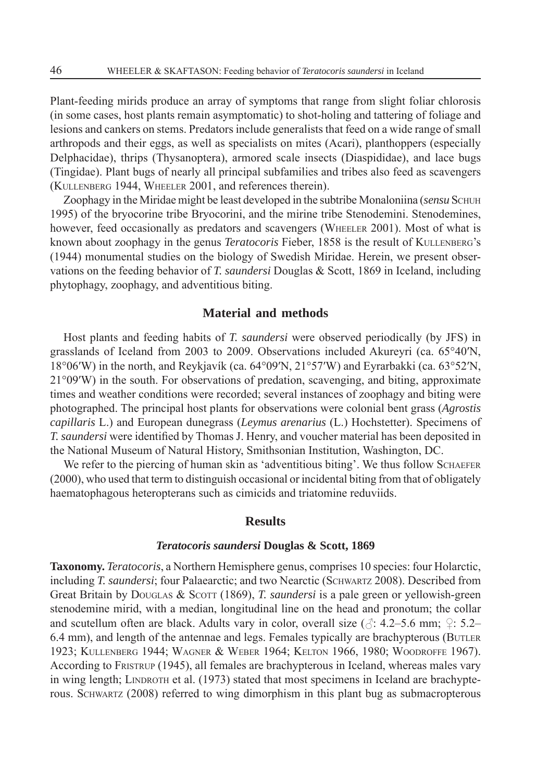Plant-feeding mirids produce an array of symptoms that range from slight foliar chlorosis (in some cases, host plants remain asymptomatic) to shot-holing and tattering of foliage and lesions and cankers on stems. Predators include generalists that feed on a wide range of small arthropods and their eggs, as well as specialists on mites (Acari), planthoppers (especially Delphacidae), thrips (Thysanoptera), armored scale insects (Diaspididae), and lace bugs (Tingidae). Plant bugs of nearly all principal subfamilies and tribes also feed as scavengers (KULLENBERG 1944, WHEELER 2001, and references therein).

Zoophagy in the Miridae might be least developed in the subtribe Monaloniina (*sensu* SCHUH 1995) of the bryocorine tribe Bryocorini, and the mirine tribe Stenodemini. Stenodemines, however, feed occasionally as predators and scavengers (WHEELER 2001). Most of what is known about zoophagy in the genus *Teratocoris* Fieber, 1858 is the result of KULLENBERG's (1944) monumental studies on the biology of Swedish Miridae. Herein, we present observations on the feeding behavior of *T. saundersi* Douglas & Scott, 1869 in Iceland, including phytophagy, zoophagy, and adventitious biting.

# **Material and methods**

Host plants and feeding habits of *T. saundersi* were observed periodically (by JFS) in grasslands of Iceland from 2003 to 2009. Observations included Akureyri (ca. 65°40′N, 18°06′W) in the north, and Reykjavík (ca. 64°09′N, 21°57′W) and Eyrarbakki (ca. 63°52′N, 21°09′W) in the south. For observations of predation, scavenging, and biting, approximate times and weather conditions were recorded; several instances of zoophagy and biting were photographed. The principal host plants for observations were colonial bent grass (*Agrostis capillaris* L.) and European dunegrass (*Leymus arenarius* (L.) Hochstetter). Specimens of *T. saundersi* were identified by Thomas J. Henry, and voucher material has been deposited in the National Museum of Natural History, Smithsonian Institution, Washington, DC.

We refer to the piercing of human skin as 'adventitious biting'. We thus follow SCHAEFER (2000), who used that term to distinguish occasional or incidental biting from that of obligately haematophagous heteropterans such as cimicids and triatomine reduviids.

# **Results**

#### *Teratocoris saundersi* **Douglas & Scott, 1869**

**Taxonomy.** *Teratocoris*, a Northern Hemisphere genus, comprises 10 species: four Holarctic, including *T. saundersi*; four Palaearctic; and two Nearctic (SCHWARTZ 2008). Described from Great Britain by DOUGLAS & SCOTT (1869), *T. saundersi* is a pale green or yellowish-green stenodemine mirid, with a median, longitudinal line on the head and pronotum; the collar and scutellum often are black. Adults vary in color, overall size ( $\triangle$ : 4.2–5.6 mm;  $\Omega$ : 5.2– 6.4 mm), and length of the antennae and legs. Females typically are brachypterous (BUTLER 1923; KULLENBERG 1944; WAGNER & WEBER 1964; KELTON 1966, 1980; WOODROFFE 1967). According to FRISTRUP (1945), all females are brachypterous in Iceland, whereas males vary in wing length; LINDROTH et al. (1973) stated that most specimens in Iceland are brachypterous. SCHWARTZ (2008) referred to wing dimorphism in this plant bug as submacropterous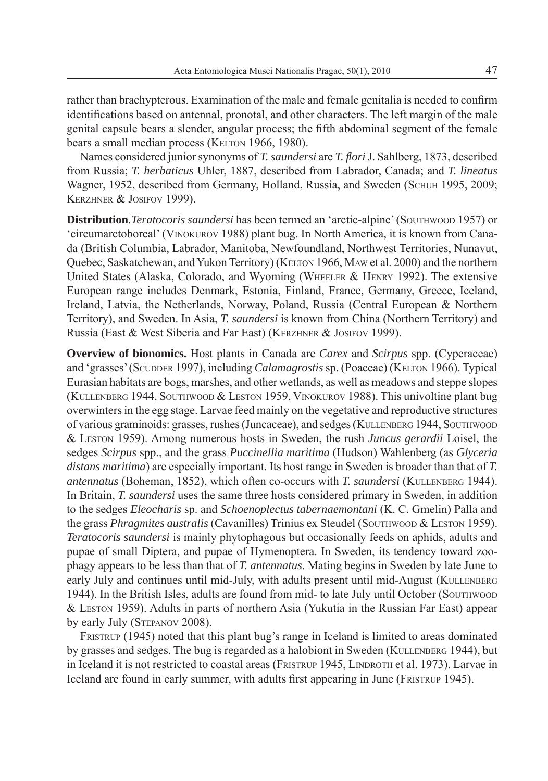rather than brachypterous. Examination of the male and female genitalia is needed to confirm identifications based on antennal, pronotal, and other characters. The left margin of the male genital capsule bears a slender, angular process; the fifth abdominal segment of the female bears a small median process (KELTON 1966, 1980).

Names considered junior synonyms of *T. saundersi* are *T. flori* J. Sahlberg, 1873, described from Russia; *T. herbaticus* Uhler, 1887, described from Labrador, Canada; and *T. lineatus* Wagner, 1952, described from Germany, Holland, Russia, and Sweden (SCHUH 1995, 2009; KERZHNER & JOSIFOV 1999).

**Distribution**. Teratocoris saundersi has been termed an 'arctic-alpine' (SOUTHWOOD 1957) or 'circumarctoboreal' (VINOKUROV 1988) plant bug. In North America, it is known from Canada (British Columbia, Labrador, Manitoba, Newfoundland, Northwest Territories, Nunavut, Quebec, Saskatchewan, and Yukon Territory) (KELTON 1966, MAW et al. 2000) and the northern United States (Alaska, Colorado, and Wyoming (WHEELER & HENRY 1992). The extensive European range includes Denmark, Estonia, Finland, France, Germany, Greece, Iceland, Ireland, Latvia, the Netherlands, Norway, Poland, Russia (Central European & Northern Territory), and Sweden. In Asia, *T. saundersi* is known from China (Northern Territory) and Russia (East & West Siberia and Far East) (KERZHNER & JOSIFOV 1999).

**Overview of bionomics.** Host plants in Canada are *Carex* and *Scirpus* spp. (Cyperaceae) and 'grasses' (SCUDDER 1997), including *Calamagrostis* sp. (Poaceae) (KELTON 1966). Typical Eurasian habitats are bogs, marshes, and other wetlands, as well as meadows and steppe slopes (KULLENBERG 1944, SOUTHWOOD & LESTON 1959, VINOKUROV 1988). This univoltine plant bug overwinters in the egg stage. Larvae feed mainly on the vegetative and reproductive structures of various graminoids: grasses, rushes (Juncaceae), and sedges (KULLENBERG 1944, SOUTHWOOD & LESTON 1959). Among numerous hosts in Sweden, the rush *Juncus gerardii* Loisel, the sedges *Scirpus* spp., and the grass *Puccinellia maritima* (Hudson) Wahlenberg (as *Glyceria distans maritima*) are especially important. Its host range in Sweden is broader than that of *T. antennatus* (Boheman, 1852), which often co-occurs with *T. saundersi* (KULLENBERG 1944). In Britain, *T. saundersi* uses the same three hosts considered primary in Sweden, in addition to the sedges *Eleocharis* sp. and *Schoenoplectus tabernaemontani* (K. C. Gmelin) Palla and the grass *Phragmites australis* (Cavanilles) Trinius ex Steudel (SOUTHWOOD & LESTON 1959). *Teratocoris saundersi* is mainly phytophagous but occasionally feeds on aphids, adults and pupae of small Diptera, and pupae of Hymenoptera. In Sweden, its tendency toward zoophagy appears to be less than that of *T. antennatus*. Mating begins in Sweden by late June to early July and continues until mid-July, with adults present until mid-August (KULLENBERG) 1944). In the British Isles, adults are found from mid- to late July until October (SOUTHWOOD & LESTON 1959). Adults in parts of northern Asia (Yukutia in the Russian Far East) appear by early July (STEPANOV 2008).

FRISTRUP (1945) noted that this plant bug's range in Iceland is limited to areas dominated by grasses and sedges. The bug is regarded as a halobiont in Sweden (KULLENBERG 1944), but in Iceland it is not restricted to coastal areas (FRISTRUP 1945, LINDROTH et al. 1973). Larvae in Iceland are found in early summer, with adults first appearing in June (FRISTRUP 1945).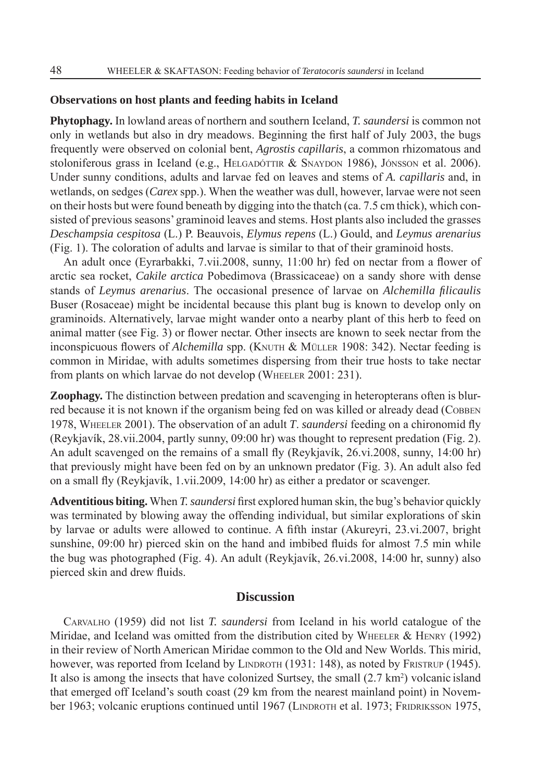#### **Observations on host plants and feeding habits in Iceland**

**Phytophagy.** In lowland areas of northern and southern Iceland, *T. saundersi* is common not only in wetlands but also in dry meadows. Beginning the first half of July 2003, the bugs frequently were observed on colonial bent, *Agrostis capillaris*, a common rhizomatous and stoloniferous grass in Iceland (e.g., HELGADÓTTIR & SNAYDON 1986), JÓNSSON et al. 2006). Under sunny conditions, adults and larvae fed on leaves and stems of *A. capillaris* and, in wetlands, on sedges (*Carex* spp.). When the weather was dull, however, larvae were not seen on their hosts but were found beneath by digging into the thatch (ca. 7.5 cm thick), which consisted of previous seasons' graminoid leaves and stems. Host plants also included the grasses *Deschampsia cespitosa* (L.) P. Beauvois, *Elymus repens* (L.) Gould, and *Leymus arenarius* (Fig. 1). The coloration of adults and larvae is similar to that of their graminoid hosts.

An adult once (Eyrarbakki, 7.vii.2008, sunny, 11:00 hr) fed on nectar from a flower of arctic sea rocket, *Cakile arctica* Pobedimova (Brassicaceae) on a sandy shore with dense stands of *Leymus arenarius*. The occasional presence of larvae on *Alchemilla fi licaulis* Buser (Rosaceae) might be incidental because this plant bug is known to develop only on graminoids. Alternatively, larvae might wander onto a nearby plant of this herb to feed on animal matter (see Fig. 3) or flower nectar. Other insects are known to seek nectar from the inconspicuous flowers of *Alchemilla* spp. (KNUTH & MÜLLER 1908: 342). Nectar feeding is common in Miridae, with adults sometimes dispersing from their true hosts to take nectar from plants on which larvae do not develop (WHEELER 2001: 231).

**Zoophagy.** The distinction between predation and scavenging in heteropterans often is blurred because it is not known if the organism being fed on was killed or already dead (COBBEN) 1978, WHEELER 2001). The observation of an adult *T. saundersi* feeding on a chironomid fly (Reykjavík, 28.vii.2004, partly sunny, 09:00 hr) was thought to represent predation (Fig. 2). An adult scavenged on the remains of a small fly (Reykjavík,  $26.vi.2008$ , sunny,  $14:00$  hr) that previously might have been fed on by an unknown predator (Fig. 3). An adult also fed on a small fly (Reykjavík, 1.vii.2009, 14:00 hr) as either a predator or scavenger.

**Adventitious biting.** When *T. saundersi* first explored human skin, the bug's behavior quickly was terminated by blowing away the offending individual, but similar explorations of skin by larvae or adults were allowed to continue. A fifth instar (Akureyri, 23.vi.2007, bright sunshine,  $09:00$  hr) pierced skin on the hand and imbibed fluids for almost 7.5 min while the bug was photographed (Fig. 4). An adult (Reykjavík, 26.vi.2008, 14:00 hr, sunny) also pierced skin and drew fluids.

## **Discussion**

CARVALHO (1959) did not list *T. saundersi* from Iceland in his world catalogue of the Miridae, and Iceland was omitted from the distribution cited by WHEELER  $&$  HENRY (1992) in their review of North American Miridae common to the Old and New Worlds. This mirid, however, was reported from Iceland by LINDROTH (1931: 148), as noted by FRISTRUP (1945). It also is among the insects that have colonized Surtsey, the small  $(2.7 \text{ km}^2)$  volcanic island that emerged off Iceland's south coast (29 km from the nearest mainland point) in November 1963; volcanic eruptions continued until 1967 (LINDROTH et al. 1973; FRIDRIKSSON 1975,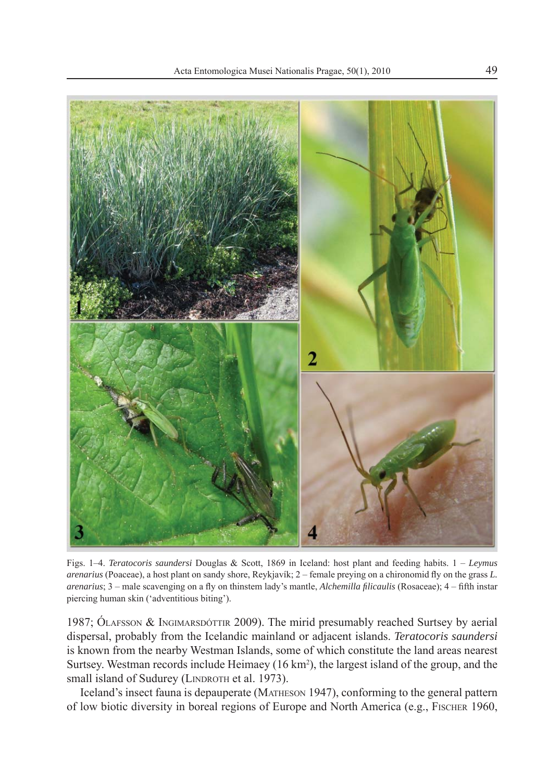

Figs. 1–4. *Teratocoris saundersi* Douglas & Scott, 1869 in Iceland: host plant and feeding habits. 1 – *Leymus arenarius* (Poaceae), a host plant on sandy shore, Reykjavík; 2 – female preying on a chironomid fly on the grass *L*. *arenarius*; 3 – male scavenging on a fly on thinstem lady's mantle, *Alchemilla filicaulis* (Rosaceae); 4 – fifth instar piercing human skin ('adventitious biting').

1987; ÓLAFSSON & INGIMARSDÓTTIR 2009). The mirid presumably reached Surtsey by aerial dispersal, probably from the Icelandic mainland or adjacent islands. *Teratocoris saundersi* is known from the nearby Westman Islands, some of which constitute the land areas nearest Surtsey. Westman records include Heimaey (16 km2 ), the largest island of the group, and the small island of Sudurey (LINDROTH et al. 1973).

Iceland's insect fauna is depauperate (MATHESON 1947), conforming to the general pattern of low biotic diversity in boreal regions of Europe and North America (e.g., FISCHER 1960,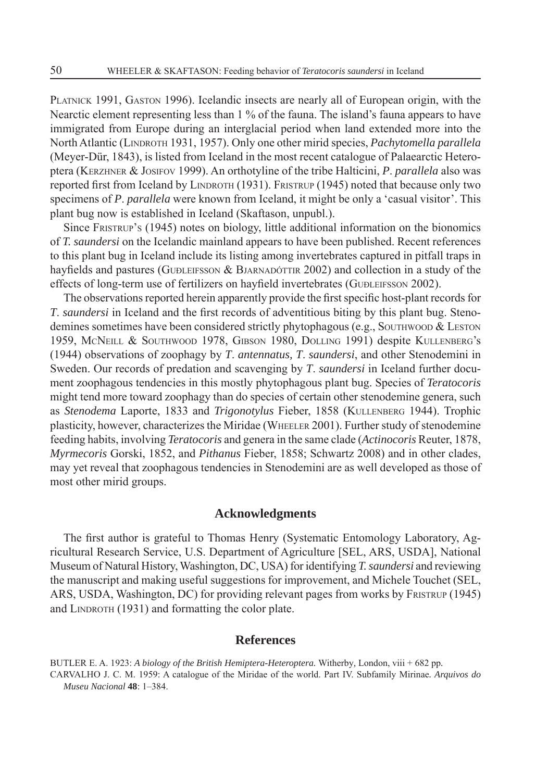PLATNICK 1991, GASTON 1996). Icelandic insects are nearly all of European origin, with the Nearctic element representing less than 1 % of the fauna. The island's fauna appears to have immigrated from Europe during an interglacial period when land extended more into the North Atlantic (LINDROTH 1931, 1957). Only one other mirid species, *Pachytomella parallela* (Meyer-Dür, 1843), is listed from Iceland in the most recent catalogue of Palaearctic Heteroptera (KERZHNER & JOSIFOV 1999). An orthotyline of the tribe Halticini, *P*. *parallela* also was reported first from Iceland by LINDROTH (1931). FRISTRUP (1945) noted that because only two specimens of *P*. *parallela* were known from Iceland, it might be only a 'casual visitor'. This plant bug now is established in Iceland (Skaftason, unpubl.).

Since FRISTRUP'S (1945) notes on biology, little additional information on the bionomics of *T. saundersi* on the Icelandic mainland appears to have been published. Recent references to this plant bug in Iceland include its listing among invertebrates captured in pitfall traps in hayfields and pastures (GUÐLEIFSSON & BJARNADÓTTIR 2002) and collection in a study of the effects of long-term use of fertilizers on hayfield invertebrates (GUÐLEIFSSON 2002).

The observations reported herein apparently provide the first specific host-plant records for *T. saundersi* in Iceland and the first records of adventitious biting by this plant bug. Stenodemines sometimes have been considered strictly phytophagous (e.g., SOUTHWOOD & LESTON 1959, McNEILL & SOUTHWOOD 1978, GIBSON 1980, DOLLING 1991) despite KULLENBERG's (1944) observations of zoophagy by *T*. *antennatus, T*. *saundersi*, and other Stenodemini in Sweden. Our records of predation and scavenging by *T*. *saundersi* in Iceland further document zoophagous tendencies in this mostly phytophagous plant bug. Species of *Teratocoris* might tend more toward zoophagy than do species of certain other stenodemine genera, such as *Stenodema* Laporte, 1833 and *Trigonotylus* Fieber, 1858 (KULLENBERG 1944). Trophic plasticity, however, characterizes the Miridae (WHEELER 2001). Further study of stenodemine feeding habits, involving *Teratocoris* and genera in the same clade (*Actinocoris* Reuter, 1878, *Myrmecoris* Gorski, 1852, and *Pithanus* Fieber, 1858; Schwartz 2008) and in other clades, may yet reveal that zoophagous tendencies in Stenodemini are as well developed as those of most other mirid groups.

## **Acknowledgments**

The first author is grateful to Thomas Henry (Systematic Entomology Laboratory, Agricultural Research Service, U.S. Department of Agriculture [SEL, ARS, USDA], National Museum of Natural History, Washington, DC, USA) for identifying *T. saundersi* and reviewing the manuscript and making useful suggestions for improvement, and Michele Touchet (SEL, ARS, USDA, Washington, DC) for providing relevant pages from works by FRISTRUP (1945) and LINDROTH (1931) and formatting the color plate.

### **References**

BUTLER E. A. 1923: *A biology of the British Hemiptera-Heteroptera.* Witherby*,* London, viii + 682 pp*.* CARVALHO J. C. M. 1959: A catalogue of the Miridae of the world. Part IV. Subfamily Mirinae*. Arquivos do Museu Nacional* **48**: 1–384.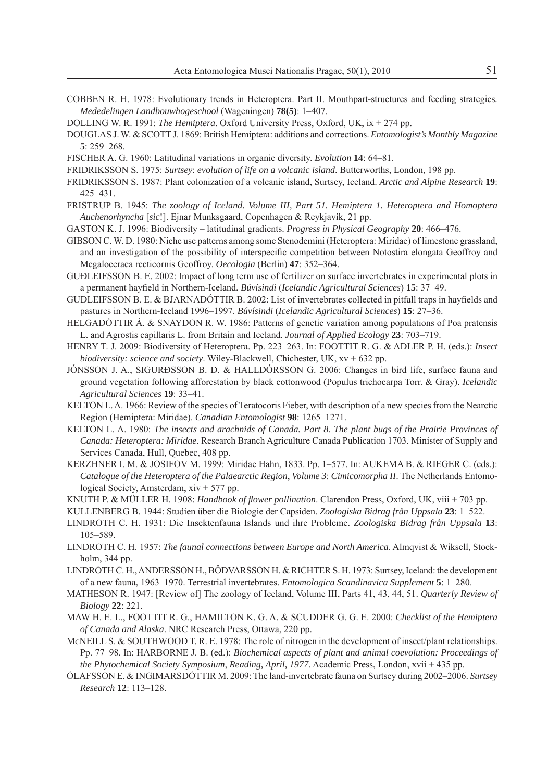- COBBEN R. H. 1978: Evolutionary trends in Heteroptera. Part II. Mouthpart-structures and feeding strategies*. Mededelingen Landbouwhogeschool* (Wageningen) **78(5)**: 1–407.
- DOLLING W. R. 1991: *The Hemiptera*. Oxford University Press, Oxford, UK, ix + 274 pp.
- DOUGLAS J. W. & SCOTT J. 1869: British Hemiptera: additions and corrections. *Entomologist's Monthly Magazine* **5**: 259–268.
- FISCHER A. G. 1960: Latitudinal variations in organic diversity. *Evolution* **14**: 64–81.
- FRIDRIKSSON S. 1975: *Surtsey*: *evolution of life on a volcanic island*. Butterworths, London, 198 pp.
- FRIDRIKSSON S. 1987: Plant colonization of a volcanic island, Surtsey, Iceland. *Arctic and Alpine Research* **19**: 425–431.
- FRISTRUP B. 1945: *The zoology of Iceland. Volume III, Part 51. Hemiptera 1. Heteroptera and Homoptera Auchenorhyncha* [*sic*!]. Ejnar Munksgaard, Copenhagen & Reykjavík, 21 pp.
- GASTON K. J. 1996: Biodiversity latitudinal gradients. *Progress in Physical Geography* **20**: 466–476.
- GIBSON C. W. D. 1980: Niche use patterns among some Stenodemini (Heteroptera: Miridae) of limestone grassland, and an investigation of the possibility of interspecific competition between Notostira elongata Geoffroy and Megaloceraea recticornis Geoffroy. *Oecologia* (Berlin) **47**: 352–364.
- GUÐLEIFSSON B. E. 2002: Impact of long term use of fertilizer on surface invertebrates in experimental plots in a permanent hayfi eld in Northern-Iceland. *Búvísindi* (*Icelandic Agricultural Sciences*) **15**: 37–49.
- GUÐLEIFSSON B. E. & BJARNADÓTTIR B. 2002: List of invertebrates collected in pitfall traps in hayfields and pastures in Northern-Iceland 1996–1997. *Búvísindi* (*Icelandic Agricultural Sciences*) **15**: 27–36.
- HELGADÓTTIR Á. & SNAYDON R. W. 1986: Patterns of genetic variation among populations of Poa pratensis L. and Agrostis capillaris L. from Britain and Iceland. *Journal of Applied Ecology* **23**: 703–719.
- HENRY T. J. 2009: Biodiversity of Heteroptera. Pp. 223–263. In: FOOTTIT R. G. & ADLER P. H. (eds.): *Insect biodiversity: science and society*. Wiley-Blackwell, Chichester, UK, xv + 632 pp.
- JÓNSSON J. A., SIGURÐSSON B. D. & HALLDÓRSSON G. 2006: Changes in bird life, surface fauna and ground vegetation following afforestation by black cottonwood (Populus trichocarpa Torr. & Gray). *Icelandic Agricultural Sciences* **19**: 33–41.
- KELTON L. A. 1966: Review of the species of Teratocoris Fieber, with description of a new species from the Nearctic Region (Hemiptera: Miridae). *Canadian Entomologist* **98**: 1265–1271.
- KELTON L. A. 1980: *The insects and arachnids of Canada. Part 8. The plant bugs of the Prairie Provinces of Canada: Heteroptera: Miridae*. Research Branch Agriculture Canada Publication 1703. Minister of Supply and Services Canada, Hull, Quebec, 408 pp.
- KERZHNER I. M. & JOSIFOV M. 1999: Miridae Hahn, 1833. Pp. 1–577. In: AUKEMA B. & RIEGER C. (eds.): *Catalogue of the Heteroptera of the Palaearctic Region*, *Volume 3*: *Cimicomorpha II*. The Netherlands Entomological Society, Amsterdam, xiv + 577 pp.
- KNUTH P. & MÜLLER H. 1908: *Handbook of fl ower pollination*. Clarendon Press, Oxford, UK, viii + 703 pp.
- KULLENBERG B. 1944: Studien über die Biologie der Capsiden. *Zoologiska Bidrag från Uppsala* **23**: 1–522.
- LINDROTH C. H. 1931: Die Insektenfauna Islands und ihre Probleme. *Zoologiska Bidrag från Uppsala* **13**: 105–589.
- LINDROTH C. H. 1957: *The faunal connections between Europe and North America*. Almqvist & Wiksell, Stockholm, 344 pp.
- LINDROTH C. H., ANDERSSON H., BÖDVARSSON H. & RICHTER S. H. 1973: Surtsey, Iceland: the development of a new fauna, 1963–1970. Terrestrial invertebrates. *Entomologica Scandinavica Supplement* **5**: 1–280.
- MATHESON R. 1947: [Review of] The zoology of Iceland, Volume III, Parts 41, 43, 44, 51. *Quarterly Review of Biology* **22**: 221.
- MAW H. E. L., FOOTTIT R. G., HAMILTON K. G. A. & SCUDDER G. G. E. 2000: *Checklist of the Hemiptera of Canada and Alaska*. NRC Research Press, Ottawa, 220 pp.
- McNEILL S. & SOUTHWOOD T. R. E. 1978: The role of nitrogen in the development of insect/plant relationships. Pp. 77–98. In: HARBORNE J. B. (ed.): *Biochemical aspects of plant and animal coevolution: Proceedings of the Phytochemical Society Symposium, Reading, April, 1977*. Academic Press, London, xvii + 435 pp.
- ÓLAFSSON E. & INGIMARSDÓTTIR M. 2009: The land-invertebrate fauna on Surtsey during 2002–2006. *Surtsey Research* **12**: 113–128.